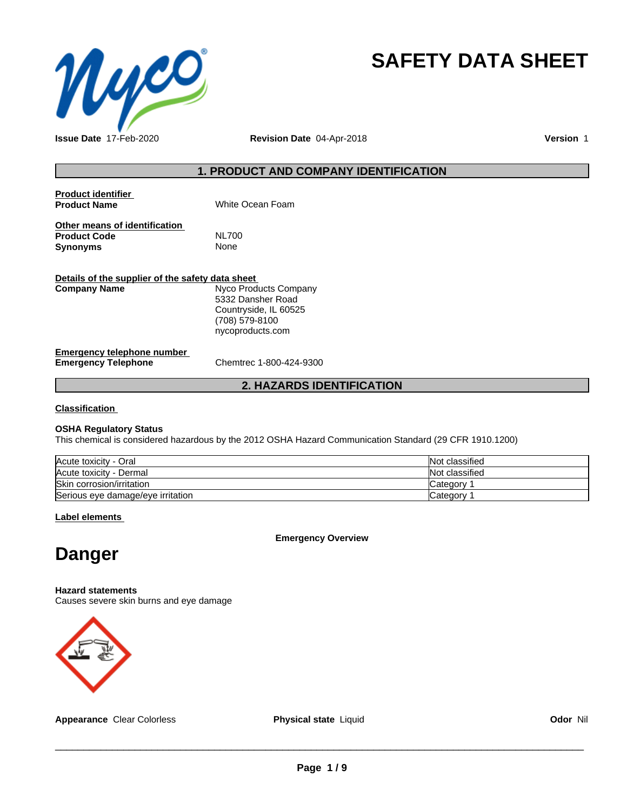

# **SAFETY DATA SHEET**

**Issue Date** 17-Feb-2020 **Revision Date** 04-Apr-2018 **Version** 1

#### **1. PRODUCT AND COMPANY IDENTIFICATION**

| Product identifier<br><b>Product Name</b>                        | White Ocean Foam                                                                                          |
|------------------------------------------------------------------|-----------------------------------------------------------------------------------------------------------|
| Other means of identification<br><b>Product Code</b><br>Synonyms | <b>NL700</b><br>None                                                                                      |
| Details of the supplier of the safety data sheet<br>Company Name | Nyco Products Company<br>5332 Dansher Road<br>Countryside, IL 60525<br>(708) 579-8100<br>nycoproducts.com |

#### **Emergency telephone number**<br> **Emergency Telephone**<br>
Chemtrec 1-800-424-9300 **Emergency Telephone**

## **2. HAZARDS IDENTIFICATION**

**Classification**

#### **OSHA Regulatory Status**

This chemical is considered hazardous by the 2012 OSHA Hazard Communication Standard (29 CFR 1910.1200)

| Acute toxicity - Oral             | Not classified |
|-----------------------------------|----------------|
| Acute toxicity - Dermal           | Not classified |
| Skin corrosion/irritation         | Category       |
| Serious eye damage/eye irritation | Category       |

**Label elements**

**Emergency Overview**

## **Danger**

**Hazard statements**

Causes severe skin burns and eye damage



**Appearance** Clear Colorless **Physical state** Liquid **Odor** Nil

 $\overline{\phantom{a}}$  ,  $\overline{\phantom{a}}$  ,  $\overline{\phantom{a}}$  ,  $\overline{\phantom{a}}$  ,  $\overline{\phantom{a}}$  ,  $\overline{\phantom{a}}$  ,  $\overline{\phantom{a}}$  ,  $\overline{\phantom{a}}$  ,  $\overline{\phantom{a}}$  ,  $\overline{\phantom{a}}$  ,  $\overline{\phantom{a}}$  ,  $\overline{\phantom{a}}$  ,  $\overline{\phantom{a}}$  ,  $\overline{\phantom{a}}$  ,  $\overline{\phantom{a}}$  ,  $\overline{\phantom{a}}$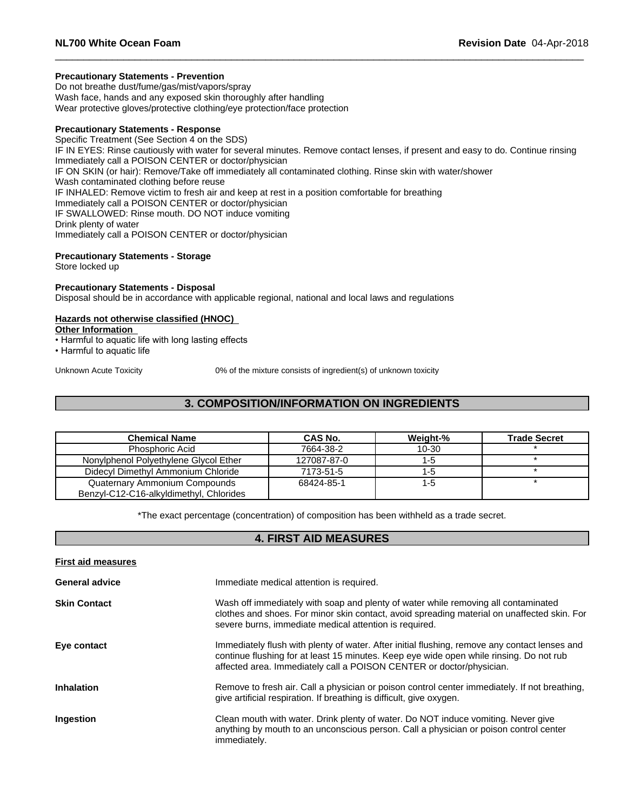#### **Precautionary Statements - Prevention**

Do not breathe dust/fume/gas/mist/vapors/spray Wash face, hands and any exposed skin thoroughly after handling Wear protective gloves/protective clothing/eye protection/face protection

#### **Precautionary Statements - Response**

Specific Treatment (See Section 4 on the SDS) IF IN EYES: Rinse cautiously with water for several minutes. Remove contact lenses, if present and easy to do. Continue rinsing Immediately call a POISON CENTER or doctor/physician IF ON SKIN (or hair): Remove/Take off immediately all contaminated clothing. Rinse skin with water/shower Wash contaminated clothing before reuse IF INHALED: Remove victim to fresh air and keep at rest in a position comfortable for breathing Immediately call a POISON CENTER or doctor/physician IF SWALLOWED: Rinse mouth. DO NOT induce vomiting Drink plenty of water Immediately call a POISON CENTER or doctor/physician

## **Precautionary Statements - Storage**

Store locked up

#### **Precautionary Statements - Disposal**

Disposal should be in accordance with applicable regional, national and local laws and regulations

#### **Hazards not otherwise classified (HNOC)**

**Other Information**

- Harmful to aquatic life with long lasting effects  $\overline{\phantom{a}}$
- Harmful to aquatic life

Unknown Acute Toxicity 0% of the mixture consists of ingredient(s) of unknown toxicity

#### **3. COMPOSITION/INFORMATION ON INGREDIENTS**

| <b>Chemical Name</b>                    | <b>CAS No.</b> | Weight-% | <b>Trade Secret</b> |
|-----------------------------------------|----------------|----------|---------------------|
| <b>Phosphoric Acid</b>                  | 7664-38-2      | 10-30    |                     |
| Nonylphenol Polyethylene Glycol Ether   | 127087-87-0    | 1-5      |                     |
| Didecyl Dimethyl Ammonium Chloride      | 7173-51-5      | 1-5      |                     |
| Quaternary Ammonium Compounds           | 68424-85-1     | 1-5      |                     |
| Benzyl-C12-C16-alkyldimethyl, Chlorides |                |          |                     |

\*The exact percentage (concentration) of composition has been withheld as a trade secret.

#### **4. FIRST AID MEASURES**

| <b>First aid measures</b> |                                                                                                                                                                                                                                                                  |
|---------------------------|------------------------------------------------------------------------------------------------------------------------------------------------------------------------------------------------------------------------------------------------------------------|
| <b>General advice</b>     | Immediate medical attention is required.                                                                                                                                                                                                                         |
| <b>Skin Contact</b>       | Wash off immediately with soap and plenty of water while removing all contaminated<br>clothes and shoes. For minor skin contact, avoid spreading material on unaffected skin. For<br>severe burns, immediate medical attention is required.                      |
| Eye contact               | Immediately flush with plenty of water. After initial flushing, remove any contact lenses and<br>continue flushing for at least 15 minutes. Keep eye wide open while rinsing. Do not rub<br>affected area. Immediately call a POISON CENTER or doctor/physician. |
| <b>Inhalation</b>         | Remove to fresh air. Call a physician or poison control center immediately. If not breathing,<br>give artificial respiration. If breathing is difficult, give oxygen.                                                                                            |
| Ingestion                 | Clean mouth with water. Drink plenty of water. Do NOT induce vomiting. Never give<br>anything by mouth to an unconscious person. Call a physician or poison control center<br>immediately.                                                                       |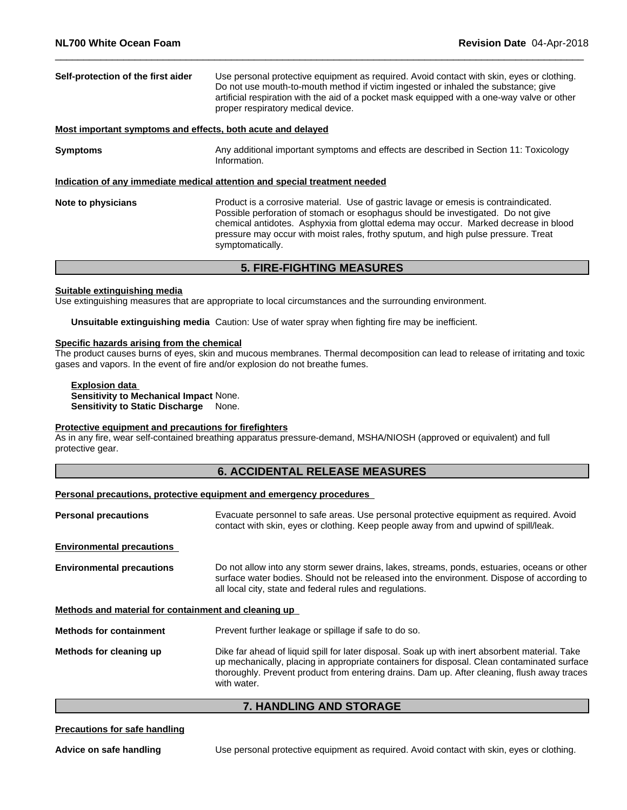| Self-protection of the first aider                          | Use personal protective equipment as required. Avoid contact with skin, eyes or clothing.<br>Do not use mouth-to-mouth method if victim ingested or inhaled the substance; give<br>artificial respiration with the aid of a pocket mask equipped with a one-way valve or other<br>proper respiratory medical device.                                                      |
|-------------------------------------------------------------|---------------------------------------------------------------------------------------------------------------------------------------------------------------------------------------------------------------------------------------------------------------------------------------------------------------------------------------------------------------------------|
| Most important symptoms and effects, both acute and delayed |                                                                                                                                                                                                                                                                                                                                                                           |
| <b>Symptoms</b>                                             | Any additional important symptoms and effects are described in Section 11: Toxicology<br>Information.                                                                                                                                                                                                                                                                     |
|                                                             | Indication of any immediate medical attention and special treatment needed                                                                                                                                                                                                                                                                                                |
| Note to physicians                                          | Product is a corrosive material. Use of gastric lavage or emesis is contraindicated.<br>Possible perforation of stomach or esophagus should be investigated. Do not give<br>chemical antidotes. Asphyxia from glottal edema may occur. Marked decrease in blood<br>pressure may occur with moist rales, frothy sputum, and high pulse pressure. Treat<br>symptomatically. |
|                                                             | <b>5. FIRE-FIGHTING MEASURES</b>                                                                                                                                                                                                                                                                                                                                          |

#### **Suitable extinguishing media**

Use extinguishing measures that are appropriate to local circumstances and the surrounding environment.

**Unsuitable extinguishing media** Caution: Use of water spray when fighting fire may be inefficient.

#### **Specific hazards arising from the chemical**

The product causes burns of eyes, skin and mucous membranes. Thermal decomposition can lead to release of irritating and toxic gases and vapors. In the event of fire and/or explosion do not breathe fumes.

#### **Explosion data Sensitivity to Mechanical Impact** None. **Sensitivity to Static Discharge** None.

#### **Protective equipment and precautions for firefighters**

As in any fire, wear self-contained breathing apparatus pressure-demand, MSHA/NIOSH (approved or equivalent) and full protective gear.

## **6. ACCIDENTAL RELEASE MEASURES**

#### **Personal precautions, protective equipment and emergency procedures**

| Evacuate personnel to safe areas. Use personal protective equipment as required. Avoid<br>contact with skin, eyes or clothing. Keep people away from and upwind of spill/leak.                                                                                                               |  |  |
|----------------------------------------------------------------------------------------------------------------------------------------------------------------------------------------------------------------------------------------------------------------------------------------------|--|--|
|                                                                                                                                                                                                                                                                                              |  |  |
| Do not allow into any storm sewer drains, lakes, streams, ponds, estuaries, oceans or other<br>surface water bodies. Should not be released into the environment. Dispose of according to<br>all local city, state and federal rules and regulations.                                        |  |  |
| Methods and material for containment and cleaning up                                                                                                                                                                                                                                         |  |  |
| Prevent further leakage or spillage if safe to do so.                                                                                                                                                                                                                                        |  |  |
| Dike far ahead of liquid spill for later disposal. Soak up with inert absorbent material. Take<br>up mechanically, placing in appropriate containers for disposal. Clean contaminated surface<br>thoroughly. Prevent product from entering drains. Dam up. After cleaning, flush away traces |  |  |
|                                                                                                                                                                                                                                                                                              |  |  |

#### **7. HANDLING AND STORAGE**

#### **Precautions for safe handling**

**Advice on safe handling** Use personal protective equipment as required. Avoid contact with skin, eyes or clothing.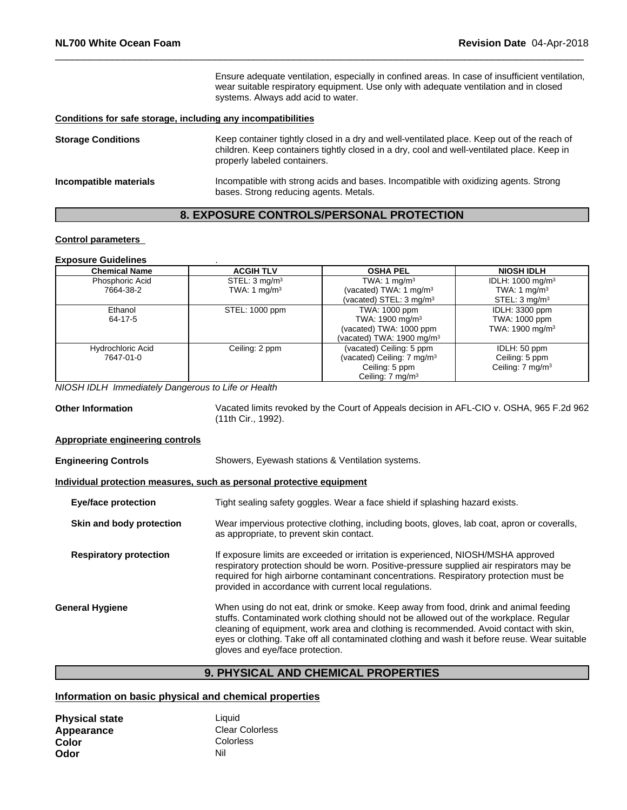Ensure adequate ventilation, especially in confined areas. In case of insufficient ventilation, wear suitable respiratory equipment. Use only with adequate ventilation and in closed systems. Always add acid to water.

#### **Conditions for safe storage, including any incompatibilities**

| <b>Storage Conditions</b> | Keep container tightly closed in a dry and well-ventilated place. Keep out of the reach of<br>children. Keep containers tightly closed in a dry, cool and well-ventilated place. Keep in<br>properly labeled containers. |
|---------------------------|--------------------------------------------------------------------------------------------------------------------------------------------------------------------------------------------------------------------------|
| Incompatible materials    | Incompatible with strong acids and bases. Incompatible with oxidizing agents. Strong<br>bases. Strong reducing agents. Metals.                                                                                           |

## **8. EXPOSURE CONTROLS/PERSONAL PROTECTION**

#### **Control parameters**

## **Exposure Guidelines** .

| <b>Chemical Name</b>     | <b>ACGIH TLV</b>          | <b>OSHA PEL</b>                       | <b>NIOSH IDLH</b>            |
|--------------------------|---------------------------|---------------------------------------|------------------------------|
| Phosphoric Acid          | STEL: 3 mg/m <sup>3</sup> | TWA: 1 $mq/m3$                        | IDLH: 1000 mg/m <sup>3</sup> |
| 7664-38-2                | TWA: 1 $mq/m3$            | (vacated) TWA: 1 $mg/m3$              | TWA: 1 $mg/m3$               |
|                          |                           | (vacated) STEL: 3 mg/m <sup>3</sup>   | STEL: $3 \text{ mg/m}^3$     |
| Ethanol                  | STEL: 1000 ppm            | TWA: 1000 ppm                         | IDLH: 3300 ppm               |
| 64-17-5                  |                           | TWA: 1900 mg/m <sup>3</sup>           | TWA: 1000 ppm                |
|                          |                           | (vacated) TWA: 1000 ppm               | TWA: $1900 \text{ mg/m}^3$   |
|                          |                           | (vacated) TWA: 1900 mg/m $3$          |                              |
| <b>Hydrochloric Acid</b> | Ceiling: 2 ppm            | (vacated) Ceiling: 5 ppm              | IDLH: 50 ppm                 |
| 7647-01-0                |                           | (vacated) Ceiling: $7 \text{ mg/m}^3$ | Ceiling: 5 ppm               |
|                          |                           | Ceiling: 5 ppm                        | Ceiling: $7 \text{ mg/m}^3$  |
|                          |                           | Ceiling: $7 \text{ mg/m}^3$           |                              |

*NIOSH IDLH Immediately Dangerous to Life or Health*

**Other Information** Vacated limits revoked by the Court of Appeals decision in AFL-CIO v.OSHA, 965 F.2d 962 (11th Cir., 1992).

#### **Appropriate engineering controls**

| <b>Engineering Controls</b>                                           | Showers, Eyewash stations & Ventilation systems.                                                                                                                                                                                                                                                                                                                                                            |  |  |  |
|-----------------------------------------------------------------------|-------------------------------------------------------------------------------------------------------------------------------------------------------------------------------------------------------------------------------------------------------------------------------------------------------------------------------------------------------------------------------------------------------------|--|--|--|
| Individual protection measures, such as personal protective equipment |                                                                                                                                                                                                                                                                                                                                                                                                             |  |  |  |
| <b>Eye/face protection</b>                                            | Tight sealing safety goggles. Wear a face shield if splashing hazard exists.                                                                                                                                                                                                                                                                                                                                |  |  |  |
| Skin and body protection                                              | Wear impervious protective clothing, including boots, gloves, lab coat, apron or coveralls,<br>as appropriate, to prevent skin contact.                                                                                                                                                                                                                                                                     |  |  |  |
| <b>Respiratory protection</b>                                         | If exposure limits are exceeded or irritation is experienced, NIOSH/MSHA approved<br>respiratory protection should be worn. Positive-pressure supplied air respirators may be<br>required for high airborne contaminant concentrations. Respiratory protection must be<br>provided in accordance with current local regulations.                                                                            |  |  |  |
| <b>General Hygiene</b>                                                | When using do not eat, drink or smoke. Keep away from food, drink and animal feeding<br>stuffs. Contaminated work clothing should not be allowed out of the workplace. Regular<br>cleaning of equipment, work area and clothing is recommended. Avoid contact with skin,<br>eyes or clothing. Take off all contaminated clothing and wash it before reuse. Wear suitable<br>gloves and eye/face protection. |  |  |  |

## **9. PHYSICAL AND CHEMICAL PROPERTIES**

#### **Information on basic physical and chemical properties**

| <b>Physical state</b> | Liauid                 |
|-----------------------|------------------------|
| Appearance            | <b>Clear Colorless</b> |
| Color                 | Colorless              |
| Odor                  | Nil                    |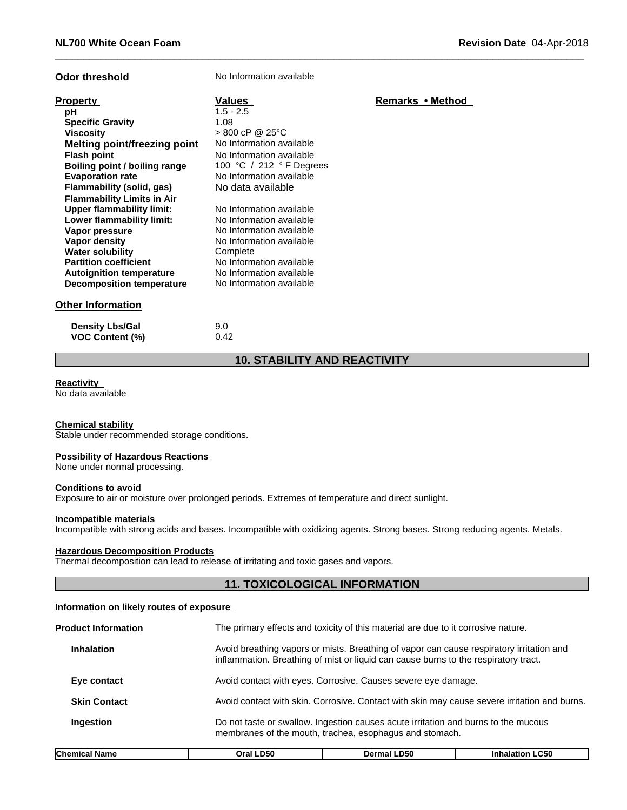| <b>Odor threshold</b>             | No Information available |                  |
|-----------------------------------|--------------------------|------------------|
| <b>Property</b>                   | Values                   | Remarks • Method |
| рH                                | $1.5 - 2.5$              |                  |
| <b>Specific Gravity</b>           | 1.08                     |                  |
| <b>Viscosity</b>                  | $> 800$ cP @ 25°C        |                  |
| Melting point/freezing point      | No Information available |                  |
| <b>Flash point</b>                | No Information available |                  |
| Boiling point / boiling range     | 100 °C / 212 °F Degrees  |                  |
| <b>Evaporation rate</b>           | No Information available |                  |
| Flammability (solid, gas)         | No data available        |                  |
| <b>Flammability Limits in Air</b> |                          |                  |
| <b>Upper flammability limit:</b>  | No Information available |                  |
| Lower flammability limit:         | No Information available |                  |
| Vapor pressure                    | No Information available |                  |
| Vapor density                     | No Information available |                  |
| <b>Water solubility</b>           | Complete                 |                  |
| <b>Partition coefficient</b>      | No Information available |                  |
| <b>Autoignition temperature</b>   | No Information available |                  |
| <b>Decomposition temperature</b>  | No Information available |                  |
| <b>Other Information</b>          |                          |                  |
| <b>Density Lbs/Gal</b>            | 9.0                      |                  |
| VOC Content (%)                   | 0.42                     |                  |

## **10. STABILITY AND REACTIVITY**

#### **Reactivity**

No data available

**VOC** Content (%)

#### **Chemical stability**

Stable under recommended storage conditions.

#### **Possibility of Hazardous Reactions**

None under normal processing.

#### **Conditions to avoid**

Exposure to air or moisture over prolonged periods. Extremes of temperature and direct sunlight.

#### **Incompatible materials**

Incompatible with strong acids and bases. Incompatible with oxidizing agents. Strong bases. Strong reducing agents. Metals.

#### **Hazardous Decomposition Products**

Thermal decomposition can lead to release of irritating and toxic gases and vapors.

## **11. TOXICOLOGICAL INFORMATION**

#### **Information on likely routes of exposure**

| <b>Product Information</b> |                                                                                                                                               | The primary effects and toxicity of this material are due to it corrosive nature.                                                                                               |                        |  |  |
|----------------------------|-----------------------------------------------------------------------------------------------------------------------------------------------|---------------------------------------------------------------------------------------------------------------------------------------------------------------------------------|------------------------|--|--|
| <b>Inhalation</b>          |                                                                                                                                               | Avoid breathing vapors or mists. Breathing of vapor can cause respiratory irritation and<br>inflammation. Breathing of mist or liquid can cause burns to the respiratory tract. |                        |  |  |
| Eye contact                |                                                                                                                                               | Avoid contact with eyes. Corrosive. Causes severe eye damage.                                                                                                                   |                        |  |  |
| <b>Skin Contact</b>        |                                                                                                                                               | Avoid contact with skin. Corrosive. Contact with skin may cause severe irritation and burns.                                                                                    |                        |  |  |
| Ingestion                  | Do not taste or swallow. Ingestion causes acute irritation and burns to the mucous<br>membranes of the mouth, trachea, esophagus and stomach. |                                                                                                                                                                                 |                        |  |  |
| <b>Chemical Name</b>       | Oral LD50                                                                                                                                     | Dermal LD50                                                                                                                                                                     | <b>Inhalation LC50</b> |  |  |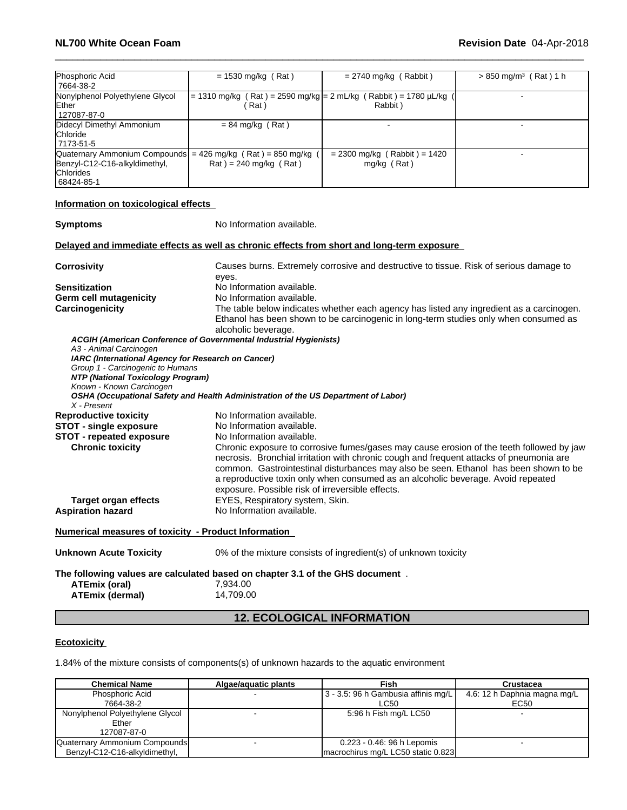| Phosphoric Acid<br>17664-38-2                                                                                                      | $= 1530$ mg/kg (Rat)                                                                | $= 2740$ mg/kg (Rabbit)                         | $> 850$ mg/m <sup>3</sup> (Rat) 1 h |
|------------------------------------------------------------------------------------------------------------------------------------|-------------------------------------------------------------------------------------|-------------------------------------------------|-------------------------------------|
| Nonylphenol Polyethylene Glycol<br>Ether<br>127087-87-0                                                                            | = 1310 mg/kg (Rat) = 2590 mg/kg = 2 mL/kg (Rabbit) = 1780 μL/kg<br>Rat <sup>'</sup> | Rabbit)                                         |                                     |
| Didecyl Dimethyl Ammonium<br><b>Chloride</b><br>17173-51-5                                                                         | $= 84$ mg/kg (Rat)                                                                  |                                                 |                                     |
| Quaternary Ammonium Compounds = $426$ mg/kg (Rat) = 850 mg/kg (<br>Benzyl-C12-C16-alkyldimethyl,<br><b>Chlorides</b><br>68424-85-1 | $\text{Rat}$ ) = 240 mg/kg ( $\text{Rat}$ )                                         | $= 2300$ mg/kg (Rabbit) = 1420<br>$mg/kg$ (Rat) |                                     |

## **Information on toxicological effects**

**Symptoms** No Information available.

**Delayed and immediate effects as well as chronic effects from short and long-term exposure**

| No Information available.<br><b>Sensitization</b><br>No Information available.<br>Germ cell mutagenicity<br>Carcinogenicity<br>The table below indicates whether each agency has listed any ingredient as a carcinogen.<br>Ethanol has been shown to be carcinogenic in long-term studies only when consumed as<br>alcoholic beverage.<br>ACGIH (American Conference of Governmental Industrial Hygienists)<br>A3 - Animal Carcinogen<br>IARC (International Agency for Research on Cancer)<br>Group 1 - Carcinogenic to Humans<br>NTP (National Toxicology Program)<br>Known - Known Carcinogen<br>OSHA (Occupational Safety and Health Administration of the US Department of Labor)<br>X - Present<br><b>Reproductive toxicity</b><br>No Information available.<br>No Information available.<br><b>STOT - single exposure</b><br><b>STOT - repeated exposure</b><br>No Information available.<br><b>Chronic toxicity</b><br>Chronic exposure to corrosive fumes/gases may cause erosion of the teeth followed by jaw<br>necrosis. Bronchial irritation with chronic cough and frequent attacks of pneumonia are<br>common. Gastrointestinal disturbances may also be seen. Ethanol has been shown to be<br>a reproductive toxin only when consumed as an alcoholic beverage. Avoid repeated<br>exposure. Possible risk of irreversible effects.<br>EYES, Respiratory system, Skin.<br><b>Target organ effects</b><br>No Information available.<br><b>Aspiration hazard</b><br>Numerical measures of toxicity - Product Information<br>0% of the mixture consists of ingredient(s) of unknown toxicity<br><b>Unknown Acute Toxicity</b><br>The following values are calculated based on chapter 3.1 of the GHS document.<br>ATEmix (oral)<br>7.934.00<br><b>ATEmix (dermal)</b><br>14,709.00 | <b>Corrosivity</b> | Causes burns. Extremely corrosive and destructive to tissue. Risk of serious damage to |
|------------------------------------------------------------------------------------------------------------------------------------------------------------------------------------------------------------------------------------------------------------------------------------------------------------------------------------------------------------------------------------------------------------------------------------------------------------------------------------------------------------------------------------------------------------------------------------------------------------------------------------------------------------------------------------------------------------------------------------------------------------------------------------------------------------------------------------------------------------------------------------------------------------------------------------------------------------------------------------------------------------------------------------------------------------------------------------------------------------------------------------------------------------------------------------------------------------------------------------------------------------------------------------------------------------------------------------------------------------------------------------------------------------------------------------------------------------------------------------------------------------------------------------------------------------------------------------------------------------------------------------------------------------------------------------------------------------------------------------------------------------------------------------------------|--------------------|----------------------------------------------------------------------------------------|
|                                                                                                                                                                                                                                                                                                                                                                                                                                                                                                                                                                                                                                                                                                                                                                                                                                                                                                                                                                                                                                                                                                                                                                                                                                                                                                                                                                                                                                                                                                                                                                                                                                                                                                                                                                                                |                    | eyes.                                                                                  |
|                                                                                                                                                                                                                                                                                                                                                                                                                                                                                                                                                                                                                                                                                                                                                                                                                                                                                                                                                                                                                                                                                                                                                                                                                                                                                                                                                                                                                                                                                                                                                                                                                                                                                                                                                                                                |                    |                                                                                        |
|                                                                                                                                                                                                                                                                                                                                                                                                                                                                                                                                                                                                                                                                                                                                                                                                                                                                                                                                                                                                                                                                                                                                                                                                                                                                                                                                                                                                                                                                                                                                                                                                                                                                                                                                                                                                |                    |                                                                                        |
|                                                                                                                                                                                                                                                                                                                                                                                                                                                                                                                                                                                                                                                                                                                                                                                                                                                                                                                                                                                                                                                                                                                                                                                                                                                                                                                                                                                                                                                                                                                                                                                                                                                                                                                                                                                                |                    |                                                                                        |
|                                                                                                                                                                                                                                                                                                                                                                                                                                                                                                                                                                                                                                                                                                                                                                                                                                                                                                                                                                                                                                                                                                                                                                                                                                                                                                                                                                                                                                                                                                                                                                                                                                                                                                                                                                                                |                    |                                                                                        |
|                                                                                                                                                                                                                                                                                                                                                                                                                                                                                                                                                                                                                                                                                                                                                                                                                                                                                                                                                                                                                                                                                                                                                                                                                                                                                                                                                                                                                                                                                                                                                                                                                                                                                                                                                                                                |                    |                                                                                        |
|                                                                                                                                                                                                                                                                                                                                                                                                                                                                                                                                                                                                                                                                                                                                                                                                                                                                                                                                                                                                                                                                                                                                                                                                                                                                                                                                                                                                                                                                                                                                                                                                                                                                                                                                                                                                |                    |                                                                                        |
|                                                                                                                                                                                                                                                                                                                                                                                                                                                                                                                                                                                                                                                                                                                                                                                                                                                                                                                                                                                                                                                                                                                                                                                                                                                                                                                                                                                                                                                                                                                                                                                                                                                                                                                                                                                                |                    |                                                                                        |
|                                                                                                                                                                                                                                                                                                                                                                                                                                                                                                                                                                                                                                                                                                                                                                                                                                                                                                                                                                                                                                                                                                                                                                                                                                                                                                                                                                                                                                                                                                                                                                                                                                                                                                                                                                                                |                    |                                                                                        |
|                                                                                                                                                                                                                                                                                                                                                                                                                                                                                                                                                                                                                                                                                                                                                                                                                                                                                                                                                                                                                                                                                                                                                                                                                                                                                                                                                                                                                                                                                                                                                                                                                                                                                                                                                                                                |                    |                                                                                        |
|                                                                                                                                                                                                                                                                                                                                                                                                                                                                                                                                                                                                                                                                                                                                                                                                                                                                                                                                                                                                                                                                                                                                                                                                                                                                                                                                                                                                                                                                                                                                                                                                                                                                                                                                                                                                |                    |                                                                                        |
|                                                                                                                                                                                                                                                                                                                                                                                                                                                                                                                                                                                                                                                                                                                                                                                                                                                                                                                                                                                                                                                                                                                                                                                                                                                                                                                                                                                                                                                                                                                                                                                                                                                                                                                                                                                                |                    |                                                                                        |
|                                                                                                                                                                                                                                                                                                                                                                                                                                                                                                                                                                                                                                                                                                                                                                                                                                                                                                                                                                                                                                                                                                                                                                                                                                                                                                                                                                                                                                                                                                                                                                                                                                                                                                                                                                                                |                    |                                                                                        |
|                                                                                                                                                                                                                                                                                                                                                                                                                                                                                                                                                                                                                                                                                                                                                                                                                                                                                                                                                                                                                                                                                                                                                                                                                                                                                                                                                                                                                                                                                                                                                                                                                                                                                                                                                                                                |                    |                                                                                        |
|                                                                                                                                                                                                                                                                                                                                                                                                                                                                                                                                                                                                                                                                                                                                                                                                                                                                                                                                                                                                                                                                                                                                                                                                                                                                                                                                                                                                                                                                                                                                                                                                                                                                                                                                                                                                |                    |                                                                                        |
|                                                                                                                                                                                                                                                                                                                                                                                                                                                                                                                                                                                                                                                                                                                                                                                                                                                                                                                                                                                                                                                                                                                                                                                                                                                                                                                                                                                                                                                                                                                                                                                                                                                                                                                                                                                                |                    |                                                                                        |
|                                                                                                                                                                                                                                                                                                                                                                                                                                                                                                                                                                                                                                                                                                                                                                                                                                                                                                                                                                                                                                                                                                                                                                                                                                                                                                                                                                                                                                                                                                                                                                                                                                                                                                                                                                                                |                    |                                                                                        |
|                                                                                                                                                                                                                                                                                                                                                                                                                                                                                                                                                                                                                                                                                                                                                                                                                                                                                                                                                                                                                                                                                                                                                                                                                                                                                                                                                                                                                                                                                                                                                                                                                                                                                                                                                                                                |                    |                                                                                        |
|                                                                                                                                                                                                                                                                                                                                                                                                                                                                                                                                                                                                                                                                                                                                                                                                                                                                                                                                                                                                                                                                                                                                                                                                                                                                                                                                                                                                                                                                                                                                                                                                                                                                                                                                                                                                |                    |                                                                                        |
|                                                                                                                                                                                                                                                                                                                                                                                                                                                                                                                                                                                                                                                                                                                                                                                                                                                                                                                                                                                                                                                                                                                                                                                                                                                                                                                                                                                                                                                                                                                                                                                                                                                                                                                                                                                                |                    |                                                                                        |

#### **Ecotoxicity**

1.84% of the mixture consists of components(s) of unknown hazards to the aquatic environment

| <b>Chemical Name</b>            | Algae/aguatic plants | <b>Fish</b>                         | <b>Crustacea</b>             |
|---------------------------------|----------------------|-------------------------------------|------------------------------|
| Phosphoric Acid                 |                      | 3 - 3.5: 96 h Gambusia affinis mg/L | 4.6: 12 h Daphnia magna mg/L |
| 7664-38-2                       |                      | LC50                                | EC50                         |
| Nonylphenol Polyethylene Glycol |                      | 5:96 h Fish mg/L LC50               |                              |
| Ether                           |                      |                                     |                              |
| 127087-87-0                     |                      |                                     |                              |
| Quaternary Ammonium Compounds   |                      | 0.223 - 0.46: 96 h Lepomis          |                              |
| Benzyl-C12-C16-alkyldimethyl.   |                      | macrochirus mg/L LC50 static 0.823  |                              |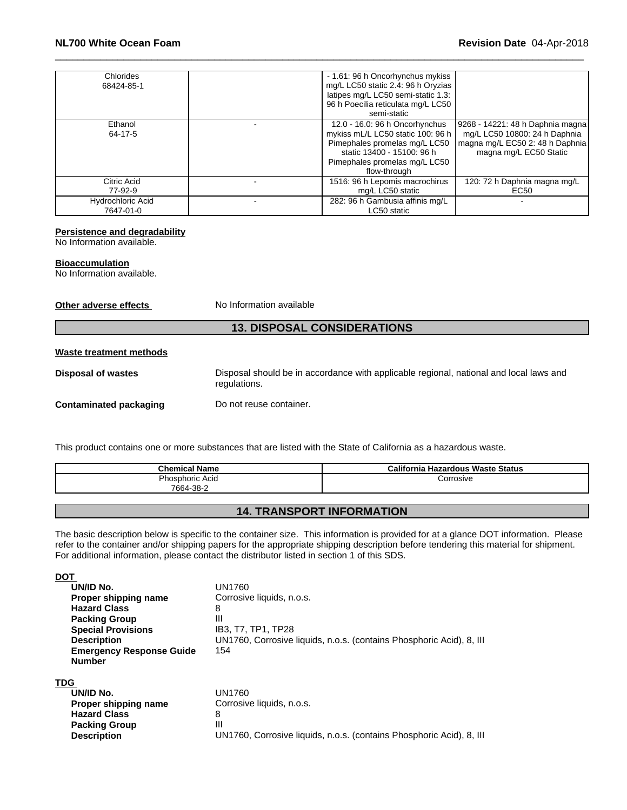| Chlorides<br>68424-85-1        | - 1.61: 96 h Oncorhynchus mykiss<br>mg/L LC50 static 2.4: 96 h Oryzias<br>latipes mg/L LC50 semi-static 1.3:<br>96 h Poecilia reticulata mg/L LC50<br>semi-static                   |                                                                                                                                |
|--------------------------------|-------------------------------------------------------------------------------------------------------------------------------------------------------------------------------------|--------------------------------------------------------------------------------------------------------------------------------|
| Ethanol<br>64-17-5             | 12.0 - 16.0: 96 h Oncorhynchus<br>mykiss mL/L LC50 static 100: 96 h<br>Pimephales promelas mg/L LC50<br>static 13400 - 15100: 96 h<br>Pimephales promelas mg/L LC50<br>flow-through | 9268 - 14221: 48 h Daphnia magna<br>mg/L LC50 10800: 24 h Daphnia<br>magna mg/L EC50 2: 48 h Daphnia<br>magna mg/L EC50 Static |
| Citric Acid<br>77-92-9         | 1516: 96 h Lepomis macrochirus<br>mg/L LC50 static                                                                                                                                  | 120: 72 h Daphnia magna mg/L<br>EC50                                                                                           |
| Hydrochloric Acid<br>7647-01-0 | 282: 96 h Gambusia affinis mg/L<br>LC50 static                                                                                                                                      |                                                                                                                                |

#### **Persistence and degradability**

No Information available.

#### **Bioaccumulation**

No Information available.

**Other adverse effects** No Information available

#### **13. DISPOSAL CONSIDERATIONS**

#### **Waste treatment methods**

**Disposal of wastes** Disposal should be in accordance with applicable regional, national and local laws and regulations. **Contaminated packaging** Do not reuse container.

This product contains one or more substances that are listed with the State of California as a hazardous waste.

| <b>Chemical Name</b>         | California Hazardous Waste Status |
|------------------------------|-----------------------------------|
| Phosphoric Acid<br>7664-38-2 | orrosive;                         |

#### **14. TRANSPORT INFORMATION**

The basic description below is specific to the container size. This information is provided for at a glance DOT information. Please refer to the container and/or shipping papers for the appropriate shipping description before tendering this material for shipment. For additional information, please contact the distributor listed in section 1 of this SDS.

**DOT UN/ID No.**<br>**Proper shipping name** Corrosive liquids, n.o.s. **Proper shipping name Hazard Class** 8 **Packing Group**<br> **Special Provisions IB3, T7, TP1, TP28 Special Provisions**<br>**Description UN1760, Corrosive liquids, n.o.s. (contains Phosphoric Acid), 8, III Emergency Response Guide Number** 154 **TDG UN/ID No.**<br>**Proper shipping name** Corrosive liquids, n.o.s. **Proper shipping name Hazard Class** 8

**Packing Group III** 

**Description** UN1760, Corrosive liquids, n.o.s. (contains Phosphoric Acid), 8, III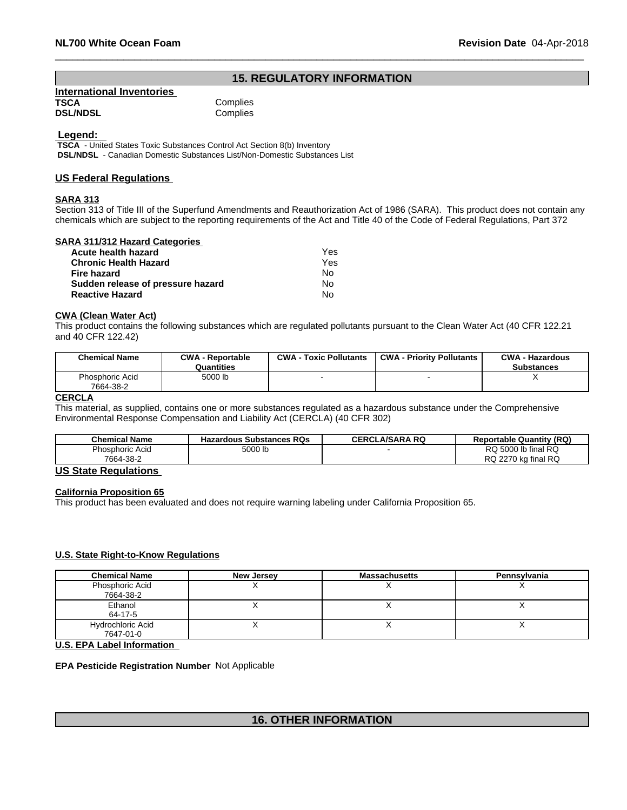## **15. REGULATORY INFORMATION**

| <b>International Inventories</b> |          |
|----------------------------------|----------|
| TSCA                             | Complies |
| <b>DSL/NDSL</b>                  | Complies |

 **Legend:** 

 **TSCA** - United States Toxic Substances Control Act Section 8(b) Inventory  **DSL/NDSL** - Canadian Domestic Substances List/Non-Domestic Substances List

#### **US Federal Regulations**

#### **SARA 313**

Section 313 of Title III of the Superfund Amendments and Reauthorization Act of 1986 (SARA). This product does not contain any chemicals which are subject to the reporting requirements of the Act and Title 40 of the Code of Federal Regulations, Part 372

#### **SARA 311/312 Hazard Categories**

| Acute health hazard               | Yes |
|-----------------------------------|-----|
| <b>Chronic Health Hazard</b>      | Yes |
| Fire hazard                       | Nο  |
| Sudden release of pressure hazard | N٥  |
| <b>Reactive Hazard</b>            | No  |

#### **CWA** (Clean Water Act)

This product contains the following substances which are regulated pollutants pursuant to the Clean Water Act (40 CFR 122.21 and 40 CFR 122.42)

| <b>Chemical Name</b>                | <b>CWA - Reportable</b><br>Quantities | <b>CWA - Toxic Pollutants</b> | <b>CWA - Priority Pollutants</b> | <b>CWA - Hazardous</b><br><b>Substances</b> |
|-------------------------------------|---------------------------------------|-------------------------------|----------------------------------|---------------------------------------------|
| <b>Phosphoric Acid</b><br>7664-38-2 | 5000 lb                               |                               |                                  |                                             |

#### **CERCLA**

This material, as supplied, contains one or more substances regulated as a hazardous substance under the Comprehensive Environmental Response Compensation and Liability Act (CERCLA) (40 CFR 302)

| <b>Chemical Name</b> | <b>Hazardous Substances RQs</b> | LA/SARA RQ<br>CERCL | <b>Reportable Quantity (RQ)</b> |
|----------------------|---------------------------------|---------------------|---------------------------------|
| Phosphoric Acid      | 5000 lb                         |                     | RQ 5000 lb final RQ             |
| 7664-38-2            |                                 |                     | RQ 2270 kg final RQ             |

#### **US State Regulations**

#### **California Proposition 65**

This product has been evaluated and does not require warning labeling under California Proposition 65.

#### **U.S. State Right-to-Know Regulations**

| <b>Chemical Name</b>     | <b>New Jersey</b> | <b>Massachusetts</b> | Pennsylvania |
|--------------------------|-------------------|----------------------|--------------|
| Phosphoric Acid          |                   |                      |              |
| 7664-38-2                |                   |                      |              |
| Ethanol                  |                   |                      |              |
| 64-17-5                  |                   |                      |              |
| <b>Hydrochloric Acid</b> |                   |                      |              |
| 7647-01-0                |                   |                      |              |

**U.S. EPA Label Information**

#### **EPA Pesticide Registration Number** Not Applicable

## **16. OTHER INFORMATION**